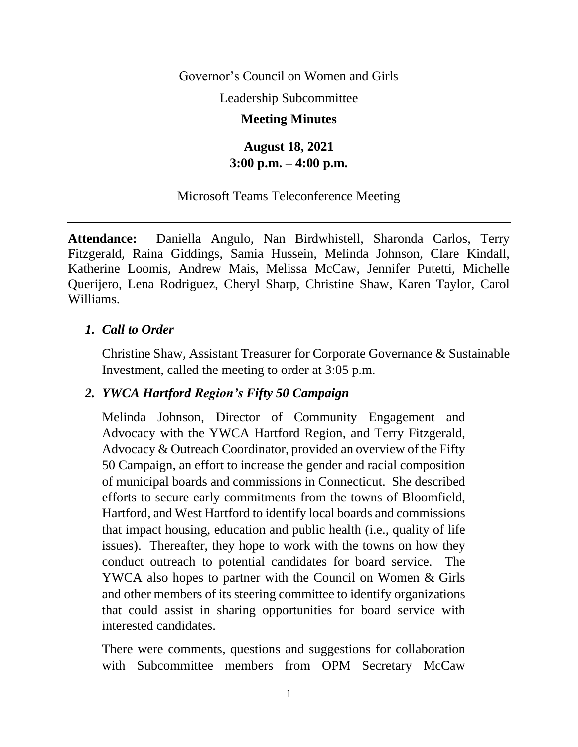Governor's Council on Women and Girls

Leadership Subcommittee

#### **Meeting Minutes**

## **August 18, 2021 3:00 p.m. – 4:00 p.m.**

#### Microsoft Teams Teleconference Meeting

**Attendance:** Daniella Angulo, Nan Birdwhistell, Sharonda Carlos, Terry Fitzgerald, Raina Giddings, Samia Hussein, Melinda Johnson, Clare Kindall, Katherine Loomis, Andrew Mais, Melissa McCaw, Jennifer Putetti, Michelle Querijero, Lena Rodriguez, Cheryl Sharp, Christine Shaw, Karen Taylor, Carol Williams.

### *1. Call to Order*

Christine Shaw, Assistant Treasurer for Corporate Governance & Sustainable Investment, called the meeting to order at 3:05 p.m.

### *2. YWCA Hartford Region's Fifty 50 Campaign*

Melinda Johnson, Director of Community Engagement and Advocacy with the YWCA Hartford Region, and Terry Fitzgerald, Advocacy & Outreach Coordinator, provided an overview of the Fifty 50 Campaign, an effort to increase the gender and racial composition of municipal boards and commissions in Connecticut. She described efforts to secure early commitments from the towns of Bloomfield, Hartford, and West Hartford to identify local boards and commissions that impact housing, education and public health (i.e., quality of life issues). Thereafter, they hope to work with the towns on how they conduct outreach to potential candidates for board service. The YWCA also hopes to partner with the Council on Women & Girls and other members of its steering committee to identify organizations that could assist in sharing opportunities for board service with interested candidates.

There were comments, questions and suggestions for collaboration with Subcommittee members from OPM Secretary McCaw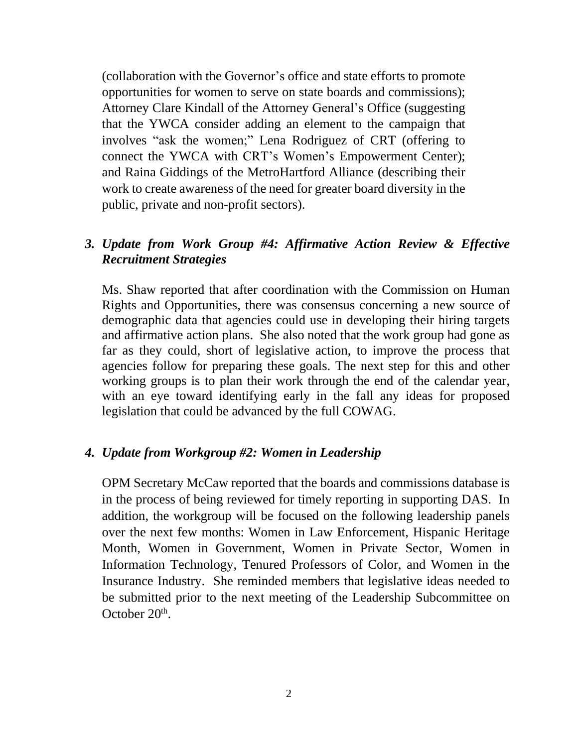(collaboration with the Governor's office and state efforts to promote opportunities for women to serve on state boards and commissions); Attorney Clare Kindall of the Attorney General's Office (suggesting that the YWCA consider adding an element to the campaign that involves "ask the women;" Lena Rodriguez of CRT (offering to connect the YWCA with CRT's Women's Empowerment Center); and Raina Giddings of the MetroHartford Alliance (describing their work to create awareness of the need for greater board diversity in the public, private and non-profit sectors).

## *3. Update from Work Group #4: Affirmative Action Review & Effective Recruitment Strategies*

Ms. Shaw reported that after coordination with the Commission on Human Rights and Opportunities, there was consensus concerning a new source of demographic data that agencies could use in developing their hiring targets and affirmative action plans. She also noted that the work group had gone as far as they could, short of legislative action, to improve the process that agencies follow for preparing these goals. The next step for this and other working groups is to plan their work through the end of the calendar year, with an eye toward identifying early in the fall any ideas for proposed legislation that could be advanced by the full COWAG.

### *4. Update from Workgroup #2: Women in Leadership*

OPM Secretary McCaw reported that the boards and commissions database is in the process of being reviewed for timely reporting in supporting DAS. In addition, the workgroup will be focused on the following leadership panels over the next few months: Women in Law Enforcement, Hispanic Heritage Month, Women in Government, Women in Private Sector, Women in Information Technology, Tenured Professors of Color, and Women in the Insurance Industry. She reminded members that legislative ideas needed to be submitted prior to the next meeting of the Leadership Subcommittee on October 20<sup>th</sup>.